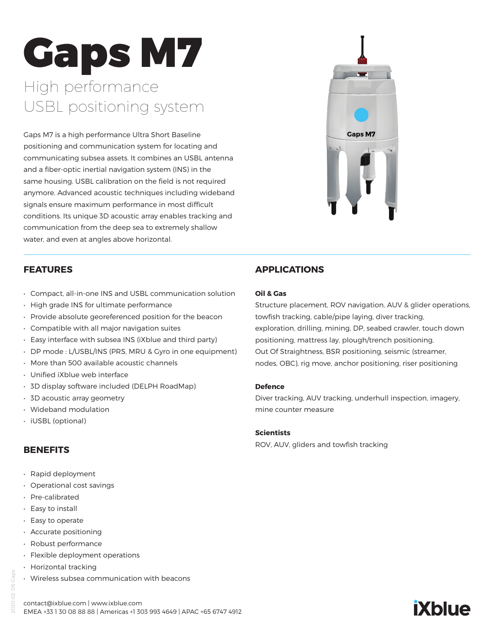# Gaps M7 High performance USBL positioning system

Gaps M7 is a high performance Ultra Short Baseline positioning and communication system for locating and communicating subsea assets. It combines an USBL antenna and a fiber-optic inertial navigation system (INS) in the same housing. USBL calibration on the field is not required anymore. Advanced acoustic techniques including wideband signals ensure maximum performance in most difficult conditions. Its unique 3D acoustic array enables tracking and communication from the deep sea to extremely shallow water, and even at angles above horizontal.



#### **FEATURES**

- Compact, all-in-one INS and USBL communication solution
- High grade INS for ultimate performance
- Provide absolute georeferenced position for the beacon
- Compatible with all major navigation suites
- Easy interface with subsea INS (iXblue and third party)
- DP mode : L/USBL/INS (PRS, MRU & Gyro in one equipment)
- More than 500 available acoustic channels
- Unified iXblue web interface
- 3D display software included (DELPH RoadMap)
- 3D acoustic array geometry
- Wideband modulation
- iUSBL (optional)

#### **BENEFITS**

- Rapid deployment
- Operational cost savings
- Pre-calibrated
- Easy to install
- Easy to operate
- Accurate positioning
- Robust performance
- Flexible deployment operations
- Horizontal tracking
- Wireless subsea communication with beacons

## **APPLICATIONS**

#### **Oil & Gas**

Structure placement, ROV navigation, AUV & glider operations, towfish tracking, cable/pipe laying, diver tracking, exploration, drilling, mining, DP, seabed crawler, touch down positioning, mattress lay, plough/trench positioning, Out Of Straightness, BSR positioning, seismic (streamer, nodes, OBC), rig move, anchor positioning, riser positioning

#### **Defence**

Diver tracking, AUV tracking, underhull inspection, imagery, mine counter measure

#### **Scientists**

ROV, AUV, gliders and towfish tracking



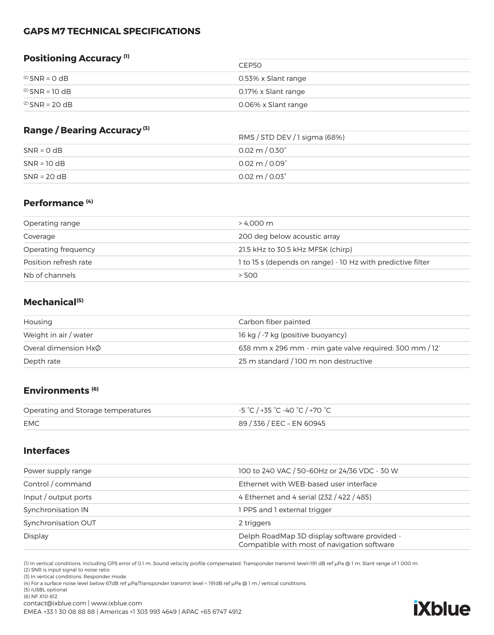#### **GAPS M7 TECHNICAL SPECIFICATIONS**

#### **Positioning Accuracy (1)**

|                      | CFP <sub>50</sub>   |
|----------------------|---------------------|
| $^{(2)}$ SNR = 0 dB  | 0.53% x Slant range |
| $^{(2)}$ SNR = 10 dB | 0.17% x Slant range |
| $^{(2)}$ SNR = 20 dB | 0.06% x Slant range |

#### **Range / Bearing Accuracy (3)**

| <b>Range / Dearing Accuracy</b> | RMS / STD DEV / 1 sigma (68%)   |  |
|---------------------------------|---------------------------------|--|
| $SNR = 0 dB$                    | $0.02 \text{ m} / 0.30^{\circ}$ |  |
| $SNR = 10 dB$                   | $0.02 \text{ m} / 0.09^{\circ}$ |  |
| $SNR = 20 dB$                   | $0.02 \text{ m} / 0.03^{\circ}$ |  |

#### **Performance (4)**

| Operating range       | > 4.000 m                                                   |
|-----------------------|-------------------------------------------------------------|
| Coverage              | 200 deg below acoustic array                                |
| Operating frequency   | 21.5 kHz to 30.5 kHz MFSK (chirp)                           |
| Position refresh rate | 1 to 15 s (depends on range) - 10 Hz with predictive filter |
| Nb of channels        | > 500                                                       |

#### **Mechanical(5)**

| Housing                   | Carbon fiber painted                                    |
|---------------------------|---------------------------------------------------------|
| Weight in air / water     | 16 kg / -7 kg (positive buoyancy)                       |
| Overal dimension $Hx\phi$ | 638 mm x 296 mm - min gate valve required: 300 mm / 12' |
| Depth rate                | 25 m standard / 100 m non destructive                   |

#### **Environments (6)**

| Operating and Storage temperatures | -5 °C / +35 °C -40 °C / +70 °C |
|------------------------------------|--------------------------------|
| <b>EMC</b>                         | 89 / 336 / EEC – EN 60945      |

#### **Interfaces**

| 100 to 240 VAC / 50~60Hz or 24/36 VDC - 30 W                                                |
|---------------------------------------------------------------------------------------------|
| Ethernet with WEB-based user interface                                                      |
| 4 Ethernet and 4 serial (232 / 422 / 485)                                                   |
| 1 PPS and 1 external trigger                                                                |
| 2 triggers                                                                                  |
| Delph RoadMap 3D display software provided -<br>Compatible with most of navigation software |
|                                                                                             |

(1) In vertical conditions. Including GPS error of 0.1 m. Sound velocity profile compensated. Transponder transmit level=191 dB ref μPa @ 1 m. Slant range of 1 000 m.

(2) SNR is input signal to noise ratio

(3) In vertical conditions. Responder mode.

(4) For a surface noise level below 67dB ref μPa/Transponder transmit level = 191dB ref μPa @ 1 m / vertical conditions.

(5) iUSBL optional

(6) NF X10-812

contact@ixblue.com | www.ixblue.com

EMEA +33 1 30 08 88 88 | Americas +1 303 993 4649 | APAC +65 6747 4912

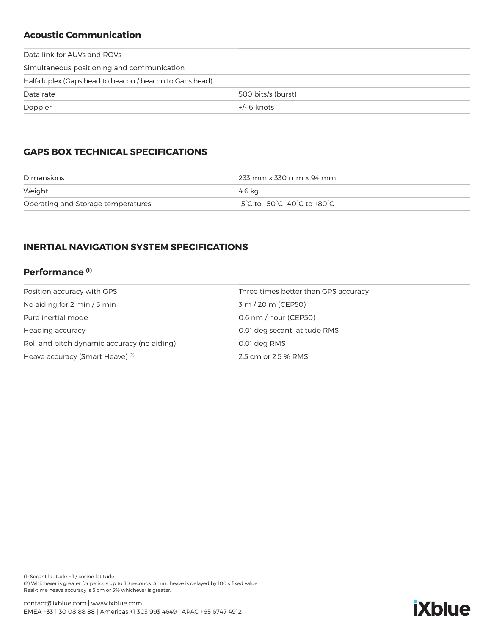## **Acoustic Communication**

| Data link for AUVs and ROVs                             |                    |  |
|---------------------------------------------------------|--------------------|--|
| Simultaneous positioning and communication              |                    |  |
| Half-duplex (Gaps head to beacon / beacon to Gaps head) |                    |  |
| Data rate                                               | 500 bits/s (burst) |  |
| Doppler                                                 | $+/-$ 6 knots      |  |

## **GAPS BOX TECHNICAL SPECIFICATIONS**

| Dimensions                         | 233 mm x 330 mm x 94 mm      |
|------------------------------------|------------------------------|
| Weight                             | 4.6 ka                       |
| Operating and Storage temperatures | -5°C to +50°C -40°C to +80°C |

## **INERTIAL NAVIGATION SYSTEM SPECIFICATIONS**

#### **Performance (1)**

| Position accuracy with GPS                  | Three times better than GPS accuracy |
|---------------------------------------------|--------------------------------------|
| No aiding for 2 min / 5 min                 | 3 m / 20 m (CEP50)                   |
| Pure inertial mode                          | $0.6$ nm $/$ hour (CEP50)            |
| Heading accuracy                            | 0.01 deg secant latitude RMS         |
| Roll and pitch dynamic accuracy (no aiding) | 0.01 deg RMS                         |
| Heave accuracy (Smart Heave) <sup>(2)</sup> | 2.5 cm or 2.5 % RMS                  |

(1) Secant latitude = 1 / cosine latitude (2) Whichever is greater for periods up to 30 seconds. Smart heave is delayed by 100 s fixed value. Real-time heave accuracy is 5 cm or 5% whichever is greater.